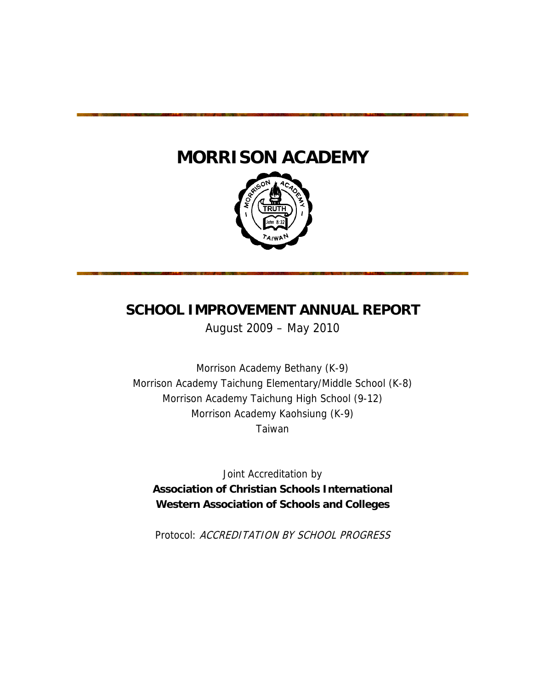# **MORRISON ACADEMY**



# **SCHOOL IMPROVEMENT ANNUAL REPORT**

August 2009 – May 2010

Morrison Academy Bethany (K-9) Morrison Academy Taichung Elementary/Middle School (K-8) Morrison Academy Taichung High School (9-12) Morrison Academy Kaohsiung (K-9) Taiwan

Joint Accreditation by **Association of Christian Schools International Western Association of Schools and Colleges** 

Protocol: ACCREDITATION BY SCHOOL PROGRESS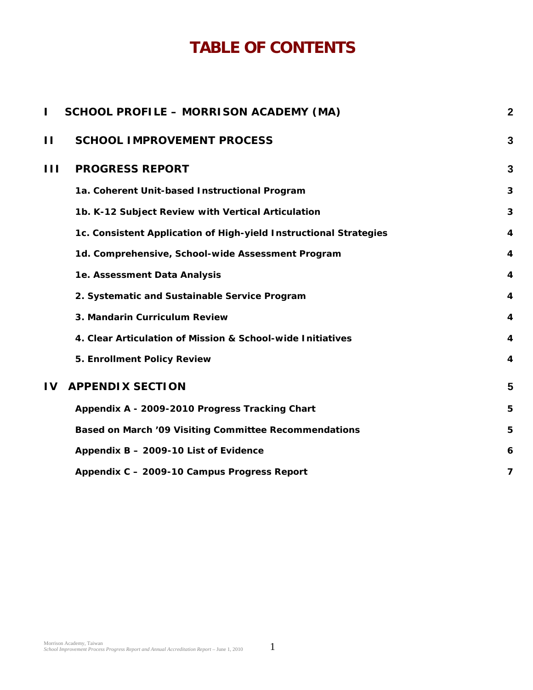# **TABLE OF CONTENTS**

| L            | <b>SCHOOL PROFILE - MORRISON ACADEMY (MA)</b>                     | $\overline{\mathbf{2}}$ |
|--------------|-------------------------------------------------------------------|-------------------------|
| П            | <b>SCHOOL IMPROVEMENT PROCESS</b>                                 | 3                       |
| $\mathbf{H}$ | <b>PROGRESS REPORT</b>                                            | 3                       |
|              | 1a. Coherent Unit-based Instructional Program                     | 3                       |
|              | 1b. K-12 Subject Review with Vertical Articulation                | 3                       |
|              | 1c. Consistent Application of High-yield Instructional Strategies | 4                       |
|              | 1d. Comprehensive, School-wide Assessment Program                 | 4                       |
|              | 1e. Assessment Data Analysis                                      | $\overline{4}$          |
|              | 2. Systematic and Sustainable Service Program                     | $\overline{4}$          |
|              | 3. Mandarin Curriculum Review                                     | $\overline{4}$          |
|              | 4. Clear Articulation of Mission & School-wide Initiatives        | 4                       |
|              | 5. Enrollment Policy Review                                       | 4                       |
| $\mathbf{I}$ | <b>APPENDIX SECTION</b>                                           | 5                       |
|              | Appendix A - 2009-2010 Progress Tracking Chart                    | 5                       |
|              | Based on March '09 Visiting Committee Recommendations             | 5                       |
|              | Appendix B - 2009-10 List of Evidence                             | 6                       |
|              | Appendix C - 2009-10 Campus Progress Report                       | 7                       |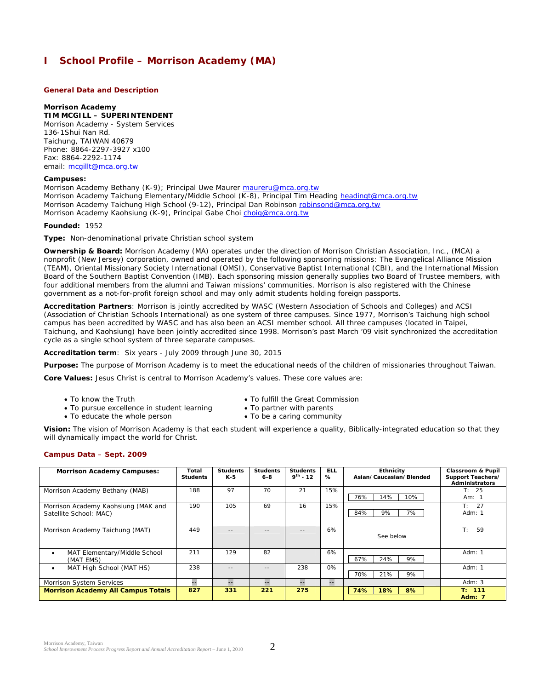# **I School Profile – Morrison Academy (MA)**

# **General Data and Description**

#### **Morrison Academy**

**TIM MCGILL – SUPERINTENDENT** 

Morrison Academy - System Services 136-1Shui Nan Rd. Taichung, TAIWAN 40679 Phone: 8864-2297-3927 x100 Fax: 8864-2292-1174 email: mcgillt@mca.org.tw

#### **Campuses:**

Morrison Academy Bethany (K-9); Principal Uwe Maurer maureru@mca.org.tw Morrison Academy Taichung Elementary/Middle School (K-8), Principal Tim Heading headingt@mca.org.tw Morrison Academy Taichung High School (9-12), Principal Dan Robinson robinsond@mca.org.tw Morrison Academy Kaohsiung (K-9), Principal Gabe Choi choig@mca.org.tw

#### **Founded:** 1952

**Type:** Non-denominational private Christian school system

**Ownership & Board:** Morrison Academy (MA) operates under the direction of *Morrison Christian Association, Inc*., (MCA) a nonprofit (New Jersey) corporation, owned and operated by the following sponsoring missions: The Evangelical Alliance Mission (TEAM), Oriental Missionary Society International (OMSI), Conservative Baptist International (CBI), and the International Mission Board of the Southern Baptist Convention (IMB). Each sponsoring mission generally supplies two Board of Trustee members, with four additional members from the alumni and Taiwan missions' communities. Morrison is also registered with the Chinese government as a not-for-profit foreign school and may only admit students holding foreign passports.

**Accreditation Partners**: Morrison is jointly accredited by WASC (Western Association of Schools and Colleges) and ACSI (Association of Christian Schools International) as one system of three campuses. Since 1977, Morrison's Taichung high school campus has been accredited by WASC and has also been an ACSI member school. All three campuses (located in Taipei, Taichung, and Kaohsiung) have been jointly accredited since 1998. Morrison's past March '09 visit synchronized the accreditation cycle as a single school system of three separate campuses.

**Accreditation term**: Six years - July 2009 through June 30, 2015

**Purpose:** The purpose of Morrison Academy is to meet the educational needs of the children of missionaries throughout Taiwan.

**Core Values:** Jesus Christ is central to Morrison Academy's values. These core values are:

- 
- To know the Truth  $\bullet$  To fulfill the Great Commission
- To pursue excellence in student learning To partner with parents
	-
- To educate the whole person To be a caring community

**Vision:** The vision of Morrison Academy is that each student will experience a quality, Biblically-integrated education so that they will dynamically impact the world for Christ.

## **Campus Data** – **Sept. 2009**

| <b>Morrison Academy Campuses:</b>                             | Total<br><b>Students</b> | <b>Students</b><br>K-5 | <b>Students</b><br>$6 - 8$ | <b>Students</b><br>$9^{th}$ - 12 | <b>ELL</b><br>% | <b>Ethnicity</b><br>Asian/Caucasian/Blended | <b>Classroom &amp; Pupil</b><br>Support Teachers/<br><b>Administrators</b> |
|---------------------------------------------------------------|--------------------------|------------------------|----------------------------|----------------------------------|-----------------|---------------------------------------------|----------------------------------------------------------------------------|
| Morrison Academy Bethany (MAB)                                | 188                      | 97                     | 70                         | 21                               | 15%             | 76%<br>14%<br>10%                           | T: 25<br>Am: $1$                                                           |
| Morrison Academy Kaohsiung (MAK and<br>Satellite School: MAC) | 190                      | 105                    | 69                         | 16                               | 15%             | 9%<br>7%<br>84%                             | $\mathsf{T}$ :<br>27<br>Adm: $1$                                           |
| Morrison Academy Taichung (MAT)                               | 449                      |                        | - -                        |                                  | 6%              | See below                                   | T:<br>59                                                                   |
| MAT Elementary/Middle School<br>٠<br>(MAT EMS)                | 211                      | 129                    | 82                         |                                  | 6%              | 9%<br>67%<br>24%                            | Adm: $1$                                                                   |
| MAT High School (MAT HS)<br>٠                                 | 238                      | $-1$                   | $- -$                      | 238                              | 0%              | 9%<br>70%<br>21%                            | Adm: $1$                                                                   |
| <b>Morrison System Services</b>                               | --                       | н.                     | --                         |                                  | --              |                                             | Adm: $3$                                                                   |
| <b>Morrison Academy All Campus Totals</b>                     | 827                      | 331                    | 221                        | 275                              |                 | 18%<br>8%<br>74%                            | T: 111<br><b>Adm: 7</b>                                                    |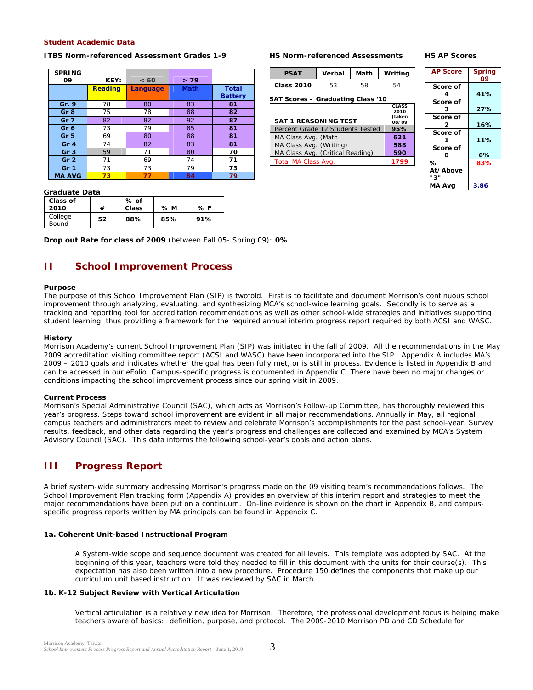# **Student Academic Data**

#### **ITBS Norm-referenced Assessment Grades 1-9**

| <b>SPRING</b><br>09 | KEY:           | < 60            | >79         |                                |
|---------------------|----------------|-----------------|-------------|--------------------------------|
|                     | <b>Reading</b> | <b>Language</b> | <b>Math</b> | <b>Total</b><br><b>Battery</b> |
| Gr. 9               | 78             | 80              | 83          | 81                             |
| Gr <sub>8</sub>     | 75             | 78              | 88          | 82                             |
| Gr <sub>7</sub>     | 82             | 82              | 92          | 87                             |
| Gr <sub>6</sub>     | 73             | 79              | 85          | 81                             |
| Gr <sub>5</sub>     | 69             | 80              | 88          | 81                             |
| Gr <sub>4</sub>     | 74             | 82              | 83          | 81                             |
| Gr <sub>3</sub>     | 59             | 71              | 80          | 70                             |
| Gr <sub>2</sub>     | 71             | 69              | 74          | 71                             |
| Gr 1                | 73             | 73              | 79          | 73                             |
| <b>MA AVG</b>       | 73             | 77              | 84          | 79                             |

#### **HS Norm-referenced Assessments**

#### **HS AP Scores**

| <b>PSAT</b>                       | Verbal | Math | Writing      |
|-----------------------------------|--------|------|--------------|
| Class 2010                        | 53     | 58   | 54           |
| SAT Scores – Graduating Class '10 |        |      |              |
|                                   |        |      | <b>CLASS</b> |

| <b>SAT 1 REASONING TEST</b>      | 2010<br>(taken<br>08/09 |
|----------------------------------|-------------------------|
| Percent Grade 12 Students Tested | 95%                     |
| MA Class Avg. (Math              | 621                     |
| MA Class Avg. (Writing)          | 588                     |
| MA Class Avg. (Critical Reading) | 590                     |
| Total MA Class Avg.              | 1799                    |
|                                  |                         |

| <b>AP Score</b> | <b>Spring</b><br>09 |
|-----------------|---------------------|
| Score of        |                     |
| 4               | 41%                 |
| Score of        |                     |
| 3               | 27%                 |
| Score of        |                     |
| 2               | 16%                 |
| Score of        |                     |
|                 | 11%                 |
| Score of        |                     |
| Ο               | 6%                  |
| ℅               | 83%                 |
| At/Above        |                     |
| 3'              |                     |
| MA Ava          | 3.86                |

#### **Graduate Data**

| Class of<br>2010 | #  | % of<br>Class | % M | % F |
|------------------|----|---------------|-----|-----|
| College<br>Bound | 52 | 88%           | 85% | 91% |

**Drop out Rate for class of 2009** (between Fall 05- Spring 09): **0%**

# **II School Improvement Process**

#### **Purpose**

The purpose of this School Improvement Plan (SIP) is twofold. First is to facilitate and document Morrison's continuous school improvement through analyzing, evaluating, and synthesizing MCA's school-wide learning goals. Secondly is to serve as a tracking and reporting tool for accreditation recommendations as well as other school-wide strategies and initiatives supporting student learning, thus providing a framework for the required annual interim progress report required by both ACSI and WASC.

#### **History**

Morrison Academy's current School Improvement Plan (SIP) was initiated in the fall of 2009. All the recommendations in the May 2009 accreditation visiting committee report (ACSI and WASC) have been incorporated into the SIP. Appendix A includes MA's 2009 – 2010 goals and indicates whether the goal has been fully met, or is still in process. Evidence is listed in Appendix B and can be accessed in our eFolio. Campus-specific progress is documented in Appendix C. There have been no major changes or conditions impacting the school improvement process since our spring visit in 2009.

#### **Current Process**

Morrison's Special Administrative Council (SAC), which acts as Morrison's *Follow-up Committee*, has thoroughly reviewed this year's progress*.* Steps toward school improvement are evident in all major recommendations*.* Annually in May, all regional campus teachers and administrators meet to review and celebrate Morrison's accomplishments for the past school-year. Survey results, feedback, and other data regarding the year's progress and challenges are collected and examined by MCA's System Advisory Council (SAC). This data informs the following school-year's goals and action plans.

# **III Progress Report**

A brief system-wide summary addressing Morrison's progress made on the 09 visiting team's recommendations follows. The *School Improvement Plan* tracking form (*Appendix A*) provides an overview of this interim report and strategies to meet the major recommendations have been put on a continuum. On-line evidence is shown on the chart in *Appendix B, and* campusspecific progress reports written by MA principals can be found in *Appendix C*.

#### *1a. Coherent Unit-based Instructional Program*

A System-wide scope and sequence document was created for all levels. This template was adopted by SAC. At the beginning of this year, teachers were told they needed to fill in this document with the units for their course(s). This expectation has also been written into a new procedure. *Procedure 150* defines the components that make up our curriculum unit based instruction. It was reviewed by SAC in March.

#### *1b. K-12 Subject Review with Vertical Articulation*

Vertical articulation is a relatively new idea for Morrison. Therefore, the professional development focus is helping make teachers aware of basics: *definition, purpose, and protocol*. The 2009-2010 Morrison PD and CD Schedule for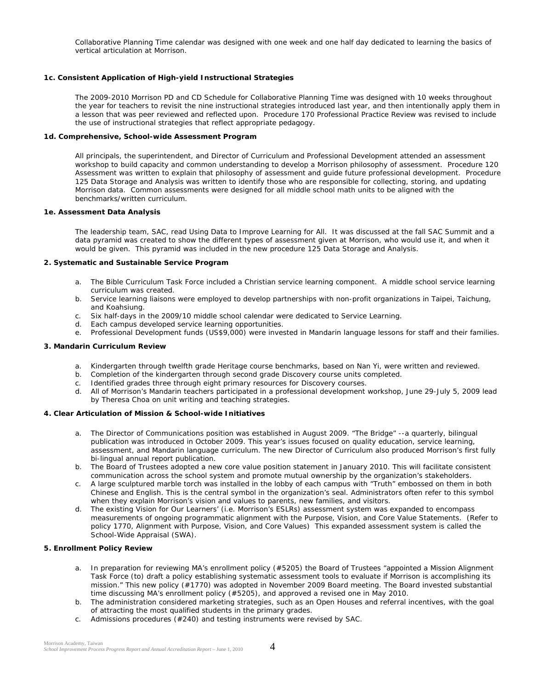Collaborative Planning Time calendar was designed with one week and one half day dedicated to learning the basics of vertical articulation at Morrison.

# *1c. Consistent Application of High-yield Instructional Strategies*

The 2009-2010 Morrison PD and CD Schedule for Collaborative Planning Time was designed with 10 weeks throughout the year for teachers to revisit the nine instructional strategies introduced last year, and then intentionally apply them in a lesson that was peer reviewed and reflected upon. *Procedure 170 Professional Practice Review* was revised to include the use of instructional strategies that reflect appropriate pedagogy.

# *1d. Comprehensive, School-wide Assessment Program*

All principals, the superintendent, and Director of Curriculum and Professional Development attended an assessment workshop to build capacity and common understanding to develop a Morrison philosophy of assessment. Procedure 120 Assessment was written to explain that philosophy of assessment and guide future professional development. Procedure 125 Data Storage and Analysis was written to identify those who are responsible for collecting, storing, and updating Morrison data. Common assessments were designed for all middle school math units to be aligned with the benchmarks/written curriculum.

# *1e. Assessment Data Analysis*

The leadership team, SAC, read *Using Data to Improve Learning for All.* It was discussed at the fall SAC Summit and a data pyramid was created to show the different types of assessment given at Morrison, who would use it, and when it would be given. This pyramid was included in the new procedure 125 Data Storage and Analysis.

# *2. Systematic and Sustainable Service Program*

- a. The Bible Curriculum Task Force included a Christian service learning component. A middle school service learning curriculum was created.
- b. Service learning liaisons were employed to develop partnerships with non-profit organizations in Taipei, Taichung, and Koahsiung.
- c. Six half-days in the 2009/10 middle school calendar were dedicated to Service Learning.
- d. Each campus developed service learning opportunities.
- e. Professional Development funds (US\$9,000) were invested in Mandarin language lessons for staff and their families.

# *3. Mandarin Curriculum Review*

- a. Kindergarten through twelfth grade Heritage course benchmarks, based on Nan Yi, were written and reviewed.
- b. Completion of the kindergarten through second grade Discovery course units completed.
- c. Identified grades three through eight primary resources for Discovery courses.
- d. All of Morrison's Mandarin teachers participated in a professional development workshop, June 29-July 5, 2009 lead by Theresa Choa on unit writing and teaching strategies.

## *4. Clear Articulation of Mission & School-wide Initiatives*

- a. The Director of Communications position was established in August 2009. "The Bridge" --a quarterly, bilingual publication was introduced in October 2009. This year's issues focused on quality education, service learning, assessment, and Mandarin language curriculum. The new Director of Curriculum also produced Morrison's first fully bi-lingual annual report publication.
- b. The Board of Trustees adopted a new core value position statement in January 2010. This will facilitate consistent communication across the school system and promote mutual ownership by the organization's stakeholders.
- c. A large sculptured marble torch was installed in the lobby of each campus with "Truth" embossed on them in both Chinese and English. This is the central symbol in the organization's seal. Administrators often refer to this symbol when they explain Morrison's vision and values to parents, new families, and visitors.
- *d.* The existing Vision for Our Learners' (i.e. Morrison's ESLRs) assessment system was expanded to encompass measurements of ongoing programmatic alignment with the Purpose, Vision, and Core Value Statements. (Refer to *policy 1770*, Alignment with Purpose, Vision, and Core Values) This expanded assessment system is called the School-Wide Appraisal (SWA).

# *5. Enrollment Policy Review*

- a. In preparation for reviewing MA's enrollment policy (#5205) the Board of Trustees "appointed a Mission Alignment Task Force (to) draft a policy establishing systematic assessment tools to evaluate if Morrison is accomplishing its mission." This new policy (#1770) was adopted in November 2009 Board meeting. The Board invested substantial time discussing MA's enrollment policy (#5205), and approved a revised one in May 2010.
- b. The administration considered marketing strategies, such as an Open Houses and referral incentives, with the goal of attracting the most qualified students in the primary grades.
- c. Admissions procedures (#240) and testing instruments were revised by SAC.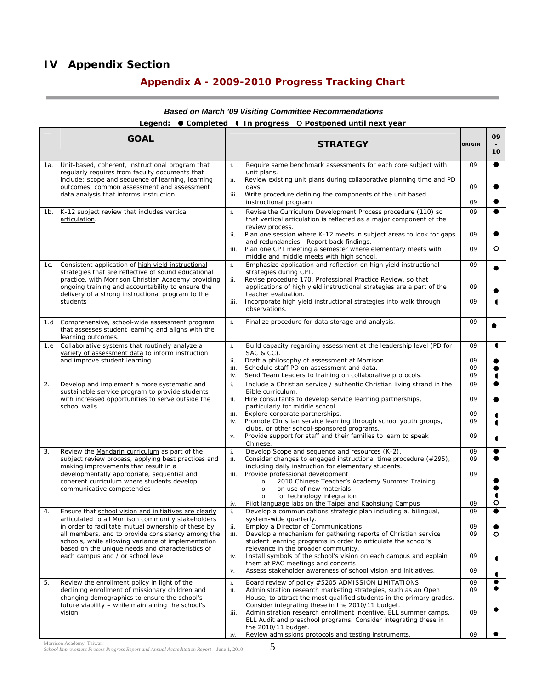# **IV Appendix Section**

# **Appendix A - 2009-2010 Progress Tracking Chart**

#### **GOAL** STRATEGY ORIGIN **09 - 10**  1a. Unit-based, coherent, instructional program that regularly requires from faculty documents that include: scope and sequence of learning, learning outcomes, common assessment and assessment data analysis that informs instruction i. Require same benchmark assessments for each core subject with unit plans. ii. Review existing unit plans during collaborative planning time and PD days. iii. Write procedure defining the components of the unit based instructional program 09 09 09  $\bullet$  $\bullet$  $\bullet$ 1b. K-12 subject review that includes vertical articulation. i. Revise the Curriculum Development Process procedure (110) so that vertical articulation is reflected as a major component of the review process. ii. Plan one session where K-12 meets in subject areas to look for gaps and redundancies. Report back findings. iii. Plan one CPT meeting a semester where elementary meets with middle and middle meets with high school. 09 09  $09$  $\bullet$  $\bullet$  $\Omega$ 1c. Consistent application of high yield instructional strategies that are reflective of sound educational practice, with Morrison Christian Academy providing ongoing training and accountability to ensure the delivery of a strong instructional program to the students i. Emphasize application and reflection on high yield instructional strategies during CPT. ii. Revise procedure 170, Professional Practice Review, so that applications of high yield instructional strategies are a part of the teacher evaluation. iii. Incorporate high yield instructional strategies into walk through observations. 09  $\overline{0}$ 09  $\bullet$  $\bullet$  $\blacksquare$ 1.d Comprehensive, school-wide assessment program that assesses student learning and aligns with the learning outcomes. i. Finalize procedure for data storage and analysis.  $\begin{bmatrix} 09 \\ 0 \end{bmatrix}$ 1.e Collaborative systems that routinely analyze a variety of assessment data to inform instruction and improve student learning. i. Build capacity regarding assessment at the leadership level (PD for SAC & CC). ii. Draft a philosophy of assessment at Morrison<br>iii. Schedule staff PD on assessment and data. Schedule staff PD on assessment and data. iv. Send Team Leaders to training on collaborative protocols. 09  $0<sup>9</sup>$ 09 09  $\overline{\bullet}$  $\bullet$  $\bullet$  $\blacksquare$ 2. Develop and implement a more systematic and sustainable service program to provide students with increased opportunities to serve outside the school walls. i. Include a Christian service / authentic Christian living strand in the Bible curriculum. ii. Hire consultants to develop service learning partnerships, particularly for middle school. iii. Explore corporate partnerships. iv. Promote Christian service learning through school youth groups, clubs, or other school-sponsored programs. v. Provide support for staff and their families to learn to speak Chinese. 09 09 09 09  $\Omega$  $\bullet$  $\bullet$   $\blacksquare$ 3. Review the Mandarin curriculum as part of the subject review process, applying best practices and making improvements that result in a developmentally appropriate, sequential and coherent curriculum where students develop communicative competencies i. Develop Scope and sequence and resources (K-2). ii. Consider changes to engaged instructional time procedure (#295), including daily instruction for elementary students. iii. Provide professional development o 2010 Chinese Teacher's Academy Summer Training o on use of new materials for technology integration iv. Pilot language labs on the Taipei and Kaohsiung Campus 09  $\Omega$ 09 09  $\bullet$  $\bullet$  $\bullet$  $\bullet$  $\blacksquare$  $\Omega$ 4. Ensure that school vision and initiatives are clearly articulated to all Morrison community stakeholders in order to facilitate mutual ownership of these by all members, and to provide consistency among the schools, while allowing variance of implementation based on the unique needs and characteristics of each campus and / or school level i. Develop a communications strategic plan including a, bilingual, system-wide quarterly. Employ a Director of Communications iii. Develop a mechanism for gathering reports of Christian service student learning programs in order to articulate the school's relevance in the broader community. iv. Install symbols of the school's vision on each campus and explain them at PAC meetings and concerts v. Assess stakeholder awareness of school vision and initiatives.  $\overline{0}$ 09 09  $\overline{0}$ 09  $\bullet$  $\bullet$  $\circ$   $\blacktriangleleft$ 5. Review the enrollment policy in light of the declining enrollment of missionary children and changing demographics to ensure the school's future viability – while maintaining the school's vision i. Board review of policy #5205 ADMISSION LIMITATIONS ii. Administration research marketing strategies, such as an Open House, to attract the most qualified students in the primary grades. Consider integrating these in the 2010/11 budget. iii. Administration research enrollment incentive, ELL summer camps, ELL Audit and preschool programs. Consider integrating these in the 2010/11 budget. Review admissions protocols and testing instruments. 09 09 09 09  $\bullet$  $\bullet$  $\bullet$

# *Based on March '09 Visiting Committee Recommendations*  **Legend: Completed In progress Postponed until next year**

Morrison Academy, Taiwan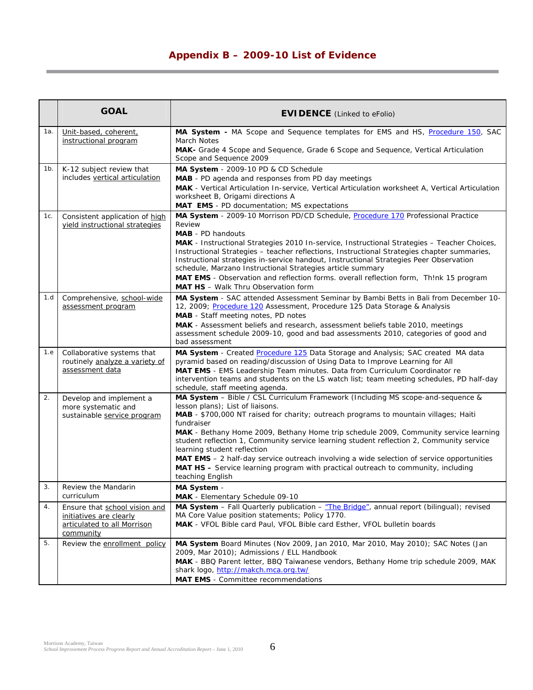# **Appendix B – 2009-10 List of Evidence**

|     | <b>GOAL</b>                                                                                          | <b>EVIDENCE</b> (Linked to eFolio)                                                                                                                                                                                                                                                                                                                                                                                                                                                                                                                                                                                                                        |
|-----|------------------------------------------------------------------------------------------------------|-----------------------------------------------------------------------------------------------------------------------------------------------------------------------------------------------------------------------------------------------------------------------------------------------------------------------------------------------------------------------------------------------------------------------------------------------------------------------------------------------------------------------------------------------------------------------------------------------------------------------------------------------------------|
| 1a. | Unit-based, coherent,<br>instructional program                                                       | MA System - MA Scope and Sequence templates for EMS and HS, Procedure 150, SAC<br>March Notes<br>MAK- Grade 4 Scope and Sequence, Grade 6 Scope and Sequence, Vertical Articulation                                                                                                                                                                                                                                                                                                                                                                                                                                                                       |
| 1b. | K-12 subject review that<br>includes vertical articulation                                           | Scope and Sequence 2009<br>MA System - 2009-10 PD & CD Schedule<br>MAB - PD agenda and responses from PD day meetings<br>MAK - Vertical Articulation In-service, Vertical Articulation worksheet A, Vertical Articulation<br>worksheet B, Origami directions A<br>MAT EMS - PD documentation; MS expectations                                                                                                                                                                                                                                                                                                                                             |
| 1с. | Consistent application of high<br>yield instructional strategies                                     | MA System - 2009-10 Morrison PD/CD Schedule, Procedure 170 Professional Practice<br>Review<br><b>MAB</b> - PD handouts<br>MAK - Instructional Strategies 2010 In-service, Instructional Strategies - Teacher Choices,<br>Instructional Strategies - teacher reflections, Instructional Strategies chapter summaries,<br>Instructional strategies in-service handout, Instructional Strategies Peer Observation<br>schedule, Marzano Instructional Strategies article summary<br>MAT EMS - Observation and reflection forms. overall reflection form, Th!nk 15 program<br><b>MAT HS</b> - Walk Thru Observation form                                       |
| 1.d | Comprehensive, school-wide<br>assessment program                                                     | MA System - SAC attended Assessment Seminar by Bambi Betts in Bali from December 10-<br>12, 2009; Procedure 120 Assessment, Procedure 125 Data Storage & Analysis<br>MAB - Staff meeting notes, PD notes<br>MAK - Assessment beliefs and research, assessment beliefs table 2010, meetings<br>assessment schedule 2009-10, good and bad assessments 2010, categories of good and<br>bad assessment                                                                                                                                                                                                                                                        |
| 1.e | Collaborative systems that<br>routinely analyze a variety of<br>assessment data                      | MA System - Created Procedure 125 Data Storage and Analysis; SAC created MA data<br>pyramid based on reading/discussion of Using Data to Improve Learning for All<br>MAT EMS - EMS Leadership Team minutes. Data from Curriculum Coordinator re<br>intervention teams and students on the LS watch list; team meeting schedules, PD half-day<br>schedule, staff meeting agenda.                                                                                                                                                                                                                                                                           |
| 2.  | Develop and implement a<br>more systematic and<br>sustainable service program                        | MA System - Bible / CSL Curriculum Framework (Including MS scope-and-sequence &<br>lesson plans); List of liaisons.<br>MAB - \$700,000 NT raised for charity; outreach programs to mountain villages; Haiti<br>fundraiser<br>MAK - Bethany Home 2009, Bethany Home trip schedule 2009, Community service learning<br>student reflection 1, Community service learning student reflection 2, Community service<br>learning student reflection<br>MAT EMS - 2 half-day service outreach involving a wide selection of service opportunities<br><b>MAT HS</b> – Service learning program with practical outreach to community, including<br>teaching English |
| 3.  | Review the Mandarin<br>curriculum                                                                    | MA System -<br>MAK - Elementary Schedule 09-10                                                                                                                                                                                                                                                                                                                                                                                                                                                                                                                                                                                                            |
| 4.  | Ensure that school vision and<br>initiatives are clearly<br>articulated to all Morrison<br>community | MA System - Fall Quarterly publication - "The Bridge", annual report (bilingual); revised<br>MA Core Value position statements; Policy 1770.<br>MAK - VFOL Bible card Paul, VFOL Bible card Esther, VFOL bulletin boards                                                                                                                                                                                                                                                                                                                                                                                                                                  |
| 5.  | Review the enrollment policy                                                                         | MA System Board Minutes (Nov 2009, Jan 2010, Mar 2010, May 2010); SAC Notes (Jan<br>2009, Mar 2010); Admissions / ELL Handbook<br>MAK - BBQ Parent letter, BBQ Taiwanese vendors, Bethany Home trip schedule 2009, MAK<br>shark logo, http://makch.mca.org.tw/<br><b>MAT EMS</b> - Committee recommendations                                                                                                                                                                                                                                                                                                                                              |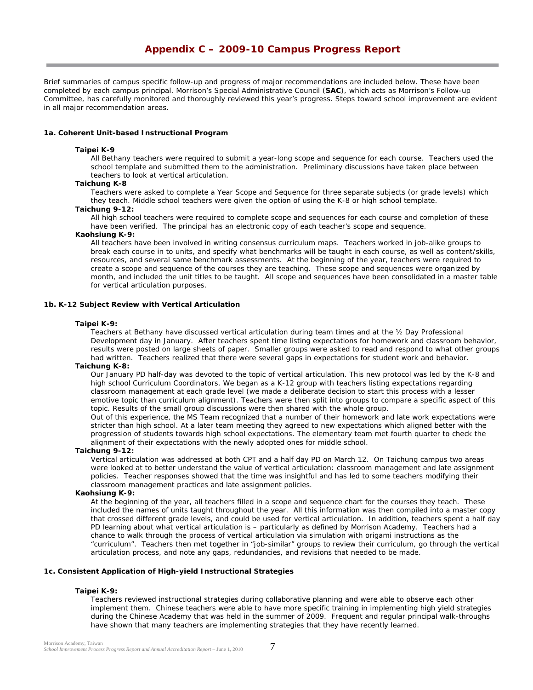*Brief summaries of campus specific follow-up and progress of major recommendations are included below. These have been completed by each campus principal. Morrison's Special Administrative Council (SAC), which acts as Morrison's Follow-up Committee, has carefully monitored and thoroughly reviewed this year's progress. Steps toward school improvement are evident in all major recommendation areas.* 

#### **1a. Coherent Unit-based Instructional Program**

#### **Taipei K-9**

All Bethany teachers were required to submit a year-long scope and sequence for each course. Teachers used the school template and submitted them to the administration. Preliminary discussions have taken place between teachers to look at vertical articulation.

#### **Taichung K-8**

Teachers were asked to complete a Year Scope and Sequence for three separate subjects (or grade levels) which they teach. Middle school teachers were given the option of using the K-8 or high school template.

#### **Taichung 9-12:**

All high school teachers were required to complete scope and sequences for each course and completion of these have been verified. The principal has an electronic copy of each teacher's scope and sequence.

#### **Kaohsiung K-9:**

All teachers have been involved in writing consensus curriculum maps. Teachers worked in job-alike groups to break each course in to units, and specify what benchmarks will be taught in each course, as well as content/skills, resources, and several same benchmark assessments. At the beginning of the year, teachers were required to create a scope and sequence of the courses they are teaching. These scope and sequences were organized by month, and included the unit titles to be taught. All scope and sequences have been consolidated in a master table for vertical articulation purposes.

#### **1b. K-12 Subject Review with Vertical Articulation**

#### **Taipei K-9:**

Teachers at Bethany have discussed vertical articulation during team times and at the ½ Day Professional Development day in January. After teachers spent time listing expectations for homework and classroom behavior, results were posted on large sheets of paper. Smaller groups were asked to read and respond to what other groups had written. Teachers realized that there were several gaps in expectations for student work and behavior.

#### **Taichung K-8:**

Our January PD half-day was devoted to the topic of vertical articulation. This new protocol was led by the K-8 and high school Curriculum Coordinators. We began as a K-12 group with teachers listing expectations regarding classroom management at each grade level (we made a deliberate decision to start this process with a lesser emotive topic than curriculum alignment). Teachers were then split into groups to compare a specific aspect of this topic. Results of the small group discussions were then shared with the whole group.

Out of this experience, the MS Team recognized that a number of their homework and late work expectations were stricter than high school. At a later team meeting they agreed to new expectations which aligned better with the progression of students towards high school expectations. The elementary team met fourth quarter to check the alignment of their expectations with the newly adopted ones for middle school.

#### **Taichung 9-12:**

Vertical articulation was addressed at both CPT and a half day PD on March 12. On Taichung campus two areas were looked at to better understand the value of vertical articulation: classroom management and late assignment policies. Teacher responses showed that the time was insightful and has led to some teachers modifying their classroom management practices and late assignment policies.

#### **Kaohsiung K-9:**

At the beginning of the year, all teachers filled in a scope and sequence chart for the courses they teach. These included the names of units taught throughout the year. All this information was then compiled into a master copy that crossed different grade levels, and could be used for vertical articulation. In addition, teachers spent a half day PD learning about what vertical articulation is – particularly as defined by Morrison Academy. Teachers had a chance to walk through the process of vertical articulation via simulation with origami instructions as the "curriculum". Teachers then met together in "job-similar" groups to review their curriculum, go through the vertical articulation process, and note any gaps, redundancies, and revisions that needed to be made.

# **1c. Consistent Application of High-yield Instructional Strategies**

#### **Taipei K-9:**

Teachers reviewed instructional strategies during collaborative planning and were able to observe each other implement them. Chinese teachers were able to have more specific training in implementing high yield strategies during the Chinese Academy that was held in the summer of 2009. Frequent and regular principal walk-throughs have shown that many teachers are implementing strategies that they have recently learned.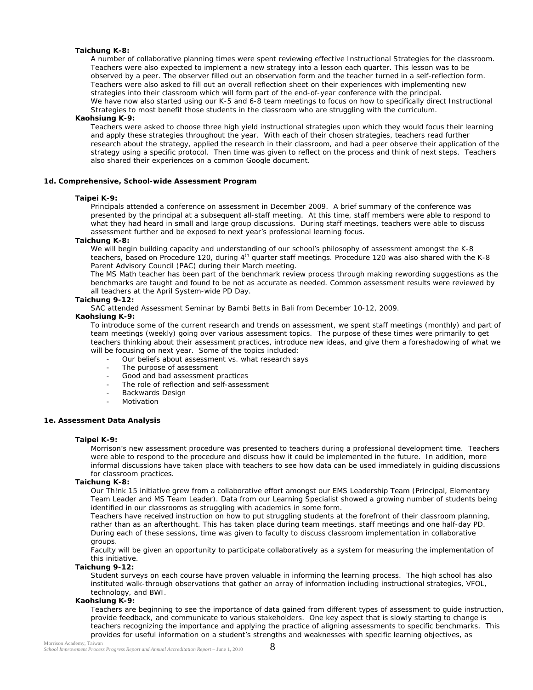## **Taichung K-8:**

A number of collaborative planning times were spent reviewing effective *Instructional Strategies* for the classroom. Teachers were also expected to implement a new strategy into a lesson each quarter. This lesson was to be observed by a peer. The observer filled out an observation form and the teacher turned in a self-reflection form. Teachers were also asked to fill out an overall reflection sheet on their experiences with implementing new strategies into their classroom which will form part of the end-of-year conference with the principal. We have now also started using our K-5 and 6-8 team meetings to focus on how to specifically direct *Instructional Strategies* to most benefit those students in the classroom who are struggling with the curriculum.

# **Kaohsiung K-9:**

Teachers were asked to choose three high yield instructional strategies upon which they would focus their learning and apply these strategies throughout the year. With each of their chosen strategies, teachers read further research about the strategy, applied the research in their classroom, and had a peer observe their application of the strategy using a specific protocol. Then time was given to reflect on the process and think of next steps. Teachers also shared their experiences on a common Google document.

#### *1d. Comprehensive, School-wide Assessment Program*

#### **Taipei K-9:**

Principals attended a conference on assessment in December 2009. A brief summary of the conference was presented by the principal at a subsequent all-staff meeting. At this time, staff members were able to respond to what they had heard in small and large group discussions. During staff meetings, teachers were able to discuss assessment further and be exposed to next year's professional learning focus.

#### **Taichung K-8:**

We will begin building capacity and understanding of our school's philosophy of assessment amongst the K-8 teachers, based on Procedure 120, during 4<sup>th</sup> quarter staff meetings. Procedure 120 was also shared with the K-8 Parent Advisory Council (PAC) during their March meeting.

The MS Math teacher has been part of the benchmark review process through making rewording suggestions as the benchmarks are taught and found to be not as accurate as needed. Common assessment results were reviewed by all teachers at the April System-wide PD Day.

#### **Taichung 9-12:**

SAC attended Assessment Seminar by Bambi Betts in Bali from December 10-12, 2009.

#### **Kaohsiung K-9:**

To introduce some of the current research and trends on assessment, we spent staff meetings (monthly) and part of team meetings (weekly) going over various assessment topics. The purpose of these times were primarily to get teachers thinking about their assessment practices, introduce new ideas, and give them a foreshadowing of what we will be focusing on next year. Some of the topics included:

- Our beliefs about assessment vs. what research says
- The purpose of assessment
- Good and bad assessment practices
- The role of reflection and self-assessment
- Backwards Design
- **Motivation**

#### **1e. Assessment Data Analysis**

#### **Taipei K-9:**

Morrison's new assessment procedure was presented to teachers during a professional development time. Teachers were able to respond to the procedure and discuss how it could be implemented in the future. In addition, more informal discussions have taken place with teachers to see how data can be used immediately in guiding discussions for classroom practices.

#### **Taichung K-8:**

Our Th!nk 15 initiative grew from a collaborative effort amongst our EMS Leadership Team (Principal, Elementary Team Leader and MS Team Leader). Data from our Learning Specialist showed a growing number of students being identified in our classrooms as struggling with academics in some form.

Teachers have received instruction on how to put struggling students at the forefront of their classroom planning, rather than as an afterthought. This has taken place during team meetings, staff meetings and one half-day PD. During each of these sessions, time was given to faculty to discuss classroom implementation in collaborative groups.

Faculty will be given an opportunity to participate collaboratively as a system for measuring the implementation of this initiative.

#### **Taichung 9-12:**

Student surveys on each course have proven valuable in informing the learning process. The high school has also instituted walk-through observations that gather an array of information including instructional strategies, VFOL, technology, and BWI.

#### **Kaohsiung K-9:**

Teachers are beginning to see the importance of data gained from different types of assessment to guide instruction, provide feedback, and communicate to various stakeholders. One key aspect that is slowly starting to change is teachers recognizing the importance and applying the practice of aligning assessments to specific benchmarks. This provides for useful information on a student's strengths and weaknesses with specific learning objectives, as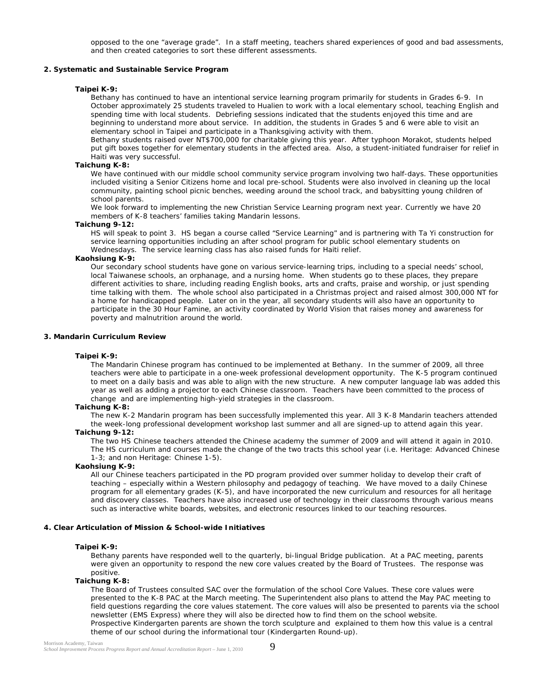opposed to the one "average grade". In a staff meeting, teachers shared experiences of good and bad assessments, and then created categories to sort these different assessments.

#### **2. Systematic and Sustainable Service Program**

#### **Taipei K-9:**

Bethany has continued to have an intentional service learning program primarily for students in Grades 6-9. In October approximately 25 students traveled to Hualien to work with a local elementary school, teaching English and spending time with local students. Debriefing sessions indicated that the students enjoyed this time and are beginning to understand more about service. In addition, the students in Grades 5 and 6 were able to visit an elementary school in Taipei and participate in a Thanksgiving activity with them.

Bethany students raised over NT\$700,000 for charitable giving this year. After typhoon Morakot, students helped put gift boxes together for elementary students in the affected area. Also, a student-initiated fundraiser for relief in Haiti was very successful.

# **Taichung K-8:**

We have continued with our middle school community service program involving two half-days. These opportunities included visiting a Senior Citizens home and local pre-school. Students were also involved in cleaning up the local community, painting school picnic benches, weeding around the school track, and babysitting young children of school parents.

We look forward to implementing the new Christian Service Learning program next year. Currently we have 20 members of K-8 teachers' families taking Mandarin lessons.

#### **Taichung 9-12:**

HS will speak to point 3. HS began a course called "Service Learning" and is partnering with Ta Yi construction for service learning opportunities including an after school program for public school elementary students on Wednesdays. The service learning class has also raised funds for Haiti relief.

#### **Kaohsiung K-9:**

Our secondary school students have gone on various service-learning trips, including to a special needs' school, local Taiwanese schools, an orphanage, and a nursing home. When students go to these places, they prepare different activities to share, including reading English books, arts and crafts, praise and worship, or just spending time talking with them. The whole school also participated in a Christmas project and raised almost 300,000 NT for a home for handicapped people. Later on in the year, all secondary students will also have an opportunity to participate in the 30 Hour Famine, an activity coordinated by World Vision that raises money and awareness for poverty and malnutrition around the world.

### **3. Mandarin Curriculum Review**

#### **Taipei K-9:**

The Mandarin Chinese program has continued to be implemented at Bethany. In the summer of 2009, all three teachers were able to participate in a one-week professional development opportunity. The K-5 program continued to meet on a daily basis and was able to align with the new structure. A new computer language lab was added this year as well as adding a projector to each Chinese classroom. Teachers have been committed to the process of change and are implementing high-yield strategies in the classroom.

#### **Taichung K-8:**

The new K-2 Mandarin program has been successfully implemented this year. All 3 K-8 Mandarin teachers attended the week-long professional development workshop last summer and all are signed-up to attend again this year.

#### **Taichung 9-12:**

The two HS Chinese teachers attended the Chinese academy the summer of 2009 and will attend it again in 2010. The HS curriculum and courses made the change of the two tracts this school year (i.e. Heritage: Advanced Chinese 1-3; and non Heritage: Chinese 1-5).

#### **Kaohsiung K-9:**

All our Chinese teachers participated in the PD program provided over summer holiday to develop their craft of teaching – especially within a Western philosophy and pedagogy of teaching. We have moved to a daily Chinese program for all elementary grades (K-5), and have incorporated the new curriculum and resources for all heritage and discovery classes. Teachers have also increased use of technology in their classrooms through various means such as interactive white boards, websites, and electronic resources linked to our teaching resources.

#### **4. Clear Articulation of Mission & School-wide Initiatives**

#### **Taipei K-9:**

Bethany parents have responded well to the quarterly, bi-lingual Bridge publication. At a PAC meeting, parents were given an opportunity to respond the new core values created by the Board of Trustees. The response was positive.

#### **Taichung K-8:**

The Board of Trustees consulted SAC over the formulation of the school Core Values. These core values were presented to the K-8 PAC at the March meeting. The Superintendent also plans to attend the May PAC meeting to field questions regarding the core values statement. The core values will also be presented to parents via the school newsletter (EMS Express) where they will also be directed how to find them on the school website. Prospective Kindergarten parents are shown the torch sculpture and explained to them how this value is a central theme of our school during the informational tour (Kindergarten Round-up).